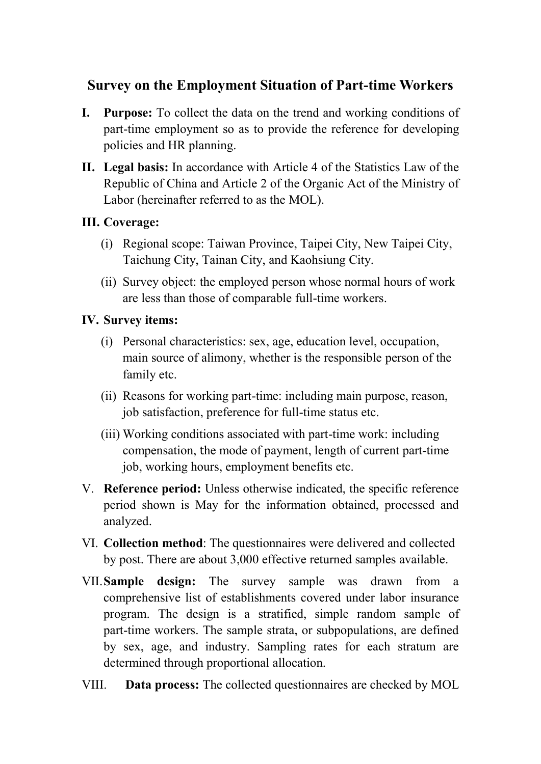## **Survey on the Employment Situation of Part-time Workers**

- **I. Purpose:** To collect the data on the trend and working conditions of part-time employment so as to provide the reference for developing policies and HR planning.
- **II. Legal basis:** In accordance with Article 4 of the Statistics Law of the Republic of China and Article 2 of the Organic Act of the Ministry of Labor (hereinafter referred to as the MOL).

## **III. Coverage:**

- (i) Regional scope: Taiwan Province, Taipei City, New Taipei City, Taichung City, Tainan City, and Kaohsiung City.
- (ii) Survey object: the employed person whose normal hours of work are less than those of comparable full-time workers.

## **IV. Survey items:**

- (i) Personal characteristics: sex, age, education level, occupation, main source of alimony, whether is the responsible person of the family etc.
- (ii) Reasons for working part-time: including main purpose, reason, job satisfaction, preference for full-time status etc.
- (iii) Working conditions associated with part-time work: including compensation, the mode of payment, length of current part-time job, working hours, employment benefits etc.
- V. **Reference period:** Unless otherwise indicated, the specific reference period shown is May for the information obtained, processed and analyzed.
- VI. **Collection method**: The questionnaires were delivered and collected by post. There are about 3,000 effective returned samples available.
- VII.**Sample design:** The survey sample was drawn from a comprehensive list of establishments covered under labor insurance program. The design is a stratified, simple random sample of part-time workers. The sample strata, or subpopulations, are defined by sex, age, and industry. Sampling rates for each stratum are determined through proportional allocation.
- VIII. **Data process:** The collected questionnaires are checked by MOL